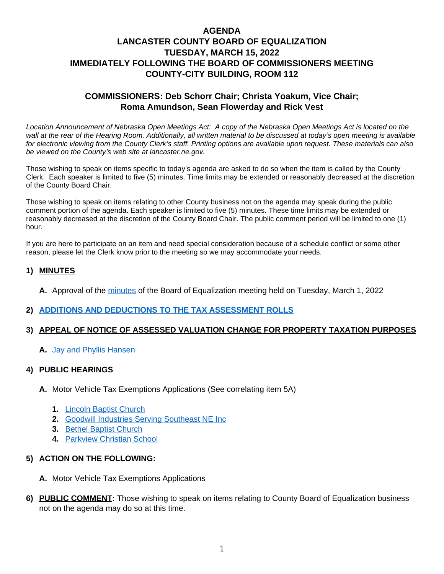# **AGENDA LANCASTER COUNTY BOARD OF EQUALIZATION TUESDAY, MARCH 15, 2022 IMMEDIATELY FOLLOWING THE BOARD OF COMMISSIONERS MEETING COUNTY-CITY BUILDING, ROOM 112**

## **COMMISSIONERS: Deb Schorr Chair; Christa Yoakum, Vice Chair; Roma Amundson, Sean Flowerday and Rick Vest**

*Location Announcement of Nebraska Open Meetings Act: A copy of the Nebraska Open Meetings Act is located on the wall at the rear of the Hearing Room. Additionally, all written material to be discussed at today's open meeting is available for electronic viewing from the County Clerk's staff. Printing options are available upon request. These materials can also be viewed on the County's web site at lancaster.ne.gov.*

Those wishing to speak on items specific to today's agenda are asked to do so when the item is called by the County Clerk. Each speaker is limited to five (5) minutes. Time limits may be extended or reasonably decreased at the discretion of the County Board Chair.

Those wishing to speak on items relating to other County business not on the agenda may speak during the public comment portion of the agenda. Each speaker is limited to five (5) minutes. These time limits may be extended or reasonably decreased at the discretion of the County Board Chair. The public comment period will be limited to one (1) hour.

If you are here to participate on an item and need special consideration because of a schedule conflict or some other reason, please let the Clerk know prior to the meeting so we may accommodate your needs.

### **1) MINUTES**

**A.** Approval of the [minutes](https://www.lancaster.ne.gov/DocumentCenter/View/12904/mi220301-BOE--PDF-) of the Board of Equalization meeting held on Tuesday, March 1, 2022

#### **2) [ADDITIONS AND DEDUCTIONS TO THE TAX ASSESSMENT ROLLS](https://www.lancaster.ne.gov/DocumentCenter/View/12923/add-and-deductions-PDF-)**

#### **3) APPEAL OF NOTICE OF ASSESSED VALUATION CHANGE FOR PROPERTY TAXATION PURPOSES**

**A.** [Jay and Phyllis Hansen](https://www.lancaster.ne.gov/DocumentCenter/View/12908/Jay-and-Phyllis-Hansen-PDF-)

#### **4) PUBLIC HEARINGS**

- **A.** Motor Vehicle Tax Exemptions Applications (See correlating item 5A)
	- **1.** [Lincoln Baptist Church](https://www.lancaster.ne.gov/DocumentCenter/View/12909/Lincoln-Baptist-Church-PDF-)
	- **2.** [Goodwill Industries Serving Southeast NE Inc](https://www.lancaster.ne.gov/DocumentCenter/View/12907/Goodwill-Industries-Serving-Southeast-NE-PDF-)
	- **3.** [Bethel Baptist Church](https://www.lancaster.ne.gov/DocumentCenter/View/12906/Bethel-Baptist-Church-App-PDF-)
	- **4.** [Parkview Christian School](https://www.lancaster.ne.gov/DocumentCenter/View/12905/Parkview-Christian-School-PDF-)

#### **5) ACTION ON THE FOLLOWING:**

- **A.** Motor Vehicle Tax Exemptions Applications
- **6) PUBLIC COMMENT:** Those wishing to speak on items relating to County Board of Equalization business not on the agenda may do so at this time.